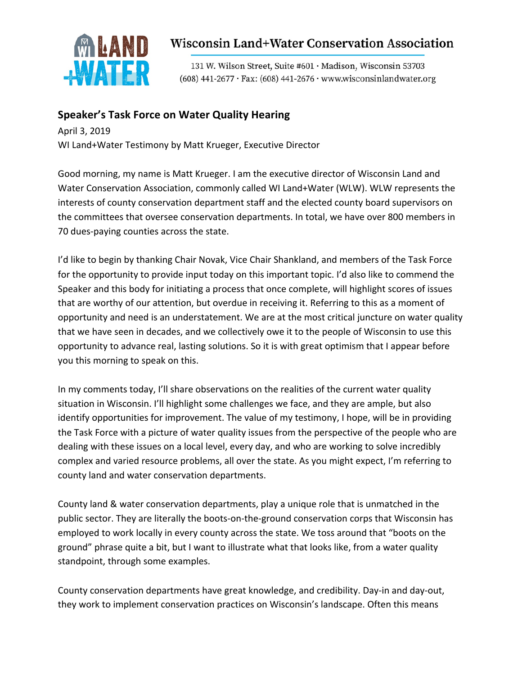

## **Wisconsin Land+Water Conservation Association**

131 W. Wilson Street, Suite #601 · Madison, Wisconsin 53703  $(608)$  441-2677 · Fax:  $(608)$  441-2676 · www.wisconsinlandwater.org

## **Speaker's Task Force on Water Quality Hearing**

April 3, 2019 WI Land+Water Testimony by Matt Krueger, Executive Director

Good morning, my name is Matt Krueger. I am the executive director of Wisconsin Land and Water Conservation Association, commonly called WI Land+Water (WLW). WLW represents the interests of county conservation department staff and the elected county board supervisors on the committees that oversee conservation departments. In total, we have over 800 members in 70 dues-paying counties across the state.

I'd like to begin by thanking Chair Novak, Vice Chair Shankland, and members of the Task Force for the opportunity to provide input today on this important topic. I'd also like to commend the Speaker and this body for initiating a process that once complete, will highlight scores of issues that are worthy of our attention, but overdue in receiving it. Referring to this as a moment of opportunity and need is an understatement. We are at the most critical juncture on water quality that we have seen in decades, and we collectively owe it to the people of Wisconsin to use this opportunity to advance real, lasting solutions. So it is with great optimism that I appear before you this morning to speak on this.

In my comments today, I'll share observations on the realities of the current water quality situation in Wisconsin. I'll highlight some challenges we face, and they are ample, but also identify opportunities for improvement. The value of my testimony, I hope, will be in providing the Task Force with a picture of water quality issues from the perspective of the people who are dealing with these issues on a local level, every day, and who are working to solve incredibly complex and varied resource problems, all over the state. As you might expect, I'm referring to county land and water conservation departments.

County land & water conservation departments, play a unique role that is unmatched in the public sector. They are literally the boots-on-the-ground conservation corps that Wisconsin has employed to work locally in every county across the state. We toss around that "boots on the ground" phrase quite a bit, but I want to illustrate what that looks like, from a water quality standpoint, through some examples.

County conservation departments have great knowledge, and credibility. Day-in and day-out, they work to implement conservation practices on Wisconsin's landscape. Often this means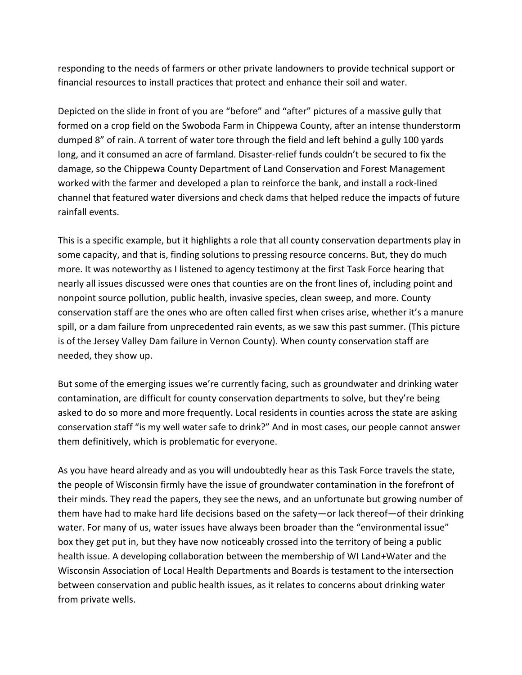responding to the needs of farmers or other private landowners to provide technical support or financial resources to install practices that protect and enhance their soil and water.

Depicted on the slide in front of you are "before" and "after" pictures of a massive gully that formed on a crop field on the Swoboda Farm in Chippewa County, after an intense thunderstorm dumped 8" of rain. A torrent of water tore through the field and left behind a gully 100 yards long, and it consumed an acre of farmland. Disaster-relief funds couldn't be secured to fix the damage, so the Chippewa County Department of Land Conservation and Forest Management worked with the farmer and developed a plan to reinforce the bank, and install a rock-lined channel that featured water diversions and check dams that helped reduce the impacts of future rainfall events.

This is a specific example, but it highlights a role that all county conservation departments play in some capacity, and that is, finding solutions to pressing resource concerns. But, they do much more. It was noteworthy as I listened to agency testimony at the first Task Force hearing that nearly all issues discussed were ones that counties are on the front lines of, including point and nonpoint source pollution, public health, invasive species, clean sweep, and more. County conservation staff are the ones who are often called first when crises arise, whether it's a manure spill, or a dam failure from unprecedented rain events, as we saw this past summer. (This picture is of the Jersey Valley Dam failure in Vernon County). When county conservation staff are needed, they show up.

But some of the emerging issues we're currently facing, such as groundwater and drinking water contamination, are difficult for county conservation departments to solve, but they're being asked to do so more and more frequently. Local residents in counties across the state are asking conservation staff "is my well water safe to drink?" And in most cases, our people cannot answer them definitively, which is problematic for everyone.

As you have heard already and as you will undoubtedly hear as this Task Force travels the state, the people of Wisconsin firmly have the issue of groundwater contamination in the forefront of their minds. They read the papers, they see the news, and an unfortunate but growing number of them have had to make hard life decisions based on the safety—or lack thereof—of their drinking water. For many of us, water issues have always been broader than the "environmental issue" box they get put in, but they have now noticeably crossed into the territory of being a public health issue. A developing collaboration between the membership of WI Land+Water and the Wisconsin Association of Local Health Departments and Boards is testament to the intersection between conservation and public health issues, as it relates to concerns about drinking water from private wells.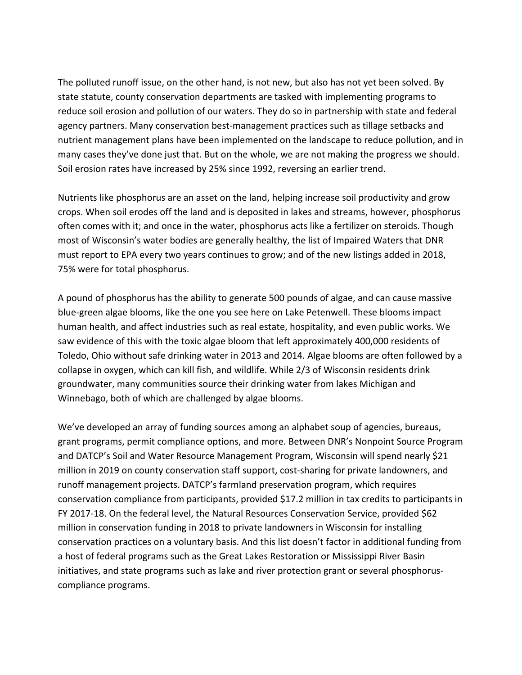The polluted runoff issue, on the other hand, is not new, but also has not yet been solved. By state statute, county conservation departments are tasked with implementing programs to reduce soil erosion and pollution of our waters. They do so in partnership with state and federal agency partners. Many conservation best-management practices such as tillage setbacks and nutrient management plans have been implemented on the landscape to reduce pollution, and in many cases they've done just that. But on the whole, we are not making the progress we should. Soil erosion rates have increased by 25% since 1992, reversing an earlier trend.

Nutrients like phosphorus are an asset on the land, helping increase soil productivity and grow crops. When soil erodes off the land and is deposited in lakes and streams, however, phosphorus often comes with it; and once in the water, phosphorus acts like a fertilizer on steroids. Though most of Wisconsin's water bodies are generally healthy, the list of Impaired Waters that DNR must report to EPA every two years continues to grow; and of the new listings added in 2018, 75% were for total phosphorus.

A pound of phosphorus has the ability to generate 500 pounds of algae, and can cause massive blue-green algae blooms, like the one you see here on Lake Petenwell. These blooms impact human health, and affect industries such as real estate, hospitality, and even public works. We saw evidence of this with the toxic algae bloom that left approximately 400,000 residents of Toledo, Ohio without safe drinking water in 2013 and 2014. Algae blooms are often followed by a collapse in oxygen, which can kill fish, and wildlife. While 2/3 of Wisconsin residents drink groundwater, many communities source their drinking water from lakes Michigan and Winnebago, both of which are challenged by algae blooms.

We've developed an array of funding sources among an alphabet soup of agencies, bureaus, grant programs, permit compliance options, and more. Between DNR's Nonpoint Source Program and DATCP's Soil and Water Resource Management Program, Wisconsin will spend nearly \$21 million in 2019 on county conservation staff support, cost-sharing for private landowners, and runoff management projects. DATCP's farmland preservation program, which requires conservation compliance from participants, provided \$17.2 million in tax credits to participants in FY 2017-18. On the federal level, the Natural Resources Conservation Service, provided \$62 million in conservation funding in 2018 to private landowners in Wisconsin for installing conservation practices on a voluntary basis. And this list doesn't factor in additional funding from a host of federal programs such as the Great Lakes Restoration or Mississippi River Basin initiatives, and state programs such as lake and river protection grant or several phosphoruscompliance programs.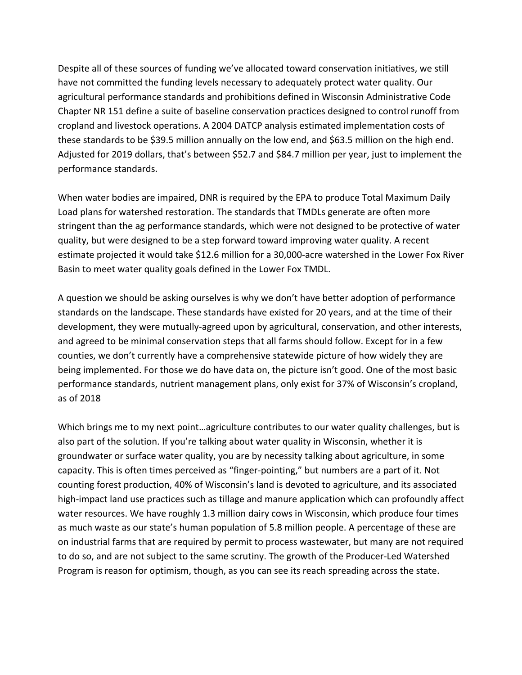Despite all of these sources of funding we've allocated toward conservation initiatives, we still have not committed the funding levels necessary to adequately protect water quality. Our agricultural performance standards and prohibitions defined in Wisconsin Administrative Code Chapter NR 151 define a suite of baseline conservation practices designed to control runoff from cropland and livestock operations. A 2004 DATCP analysis estimated implementation costs of these standards to be \$39.5 million annually on the low end, and \$63.5 million on the high end. Adjusted for 2019 dollars, that's between \$52.7 and \$84.7 million per year, just to implement the performance standards.

When water bodies are impaired, DNR is required by the EPA to produce Total Maximum Daily Load plans for watershed restoration. The standards that TMDLs generate are often more stringent than the ag performance standards, which were not designed to be protective of water quality, but were designed to be a step forward toward improving water quality. A recent estimate projected it would take \$12.6 million for a 30,000-acre watershed in the Lower Fox River Basin to meet water quality goals defined in the Lower Fox TMDL.

A question we should be asking ourselves is why we don't have better adoption of performance standards on the landscape. These standards have existed for 20 years, and at the time of their development, they were mutually-agreed upon by agricultural, conservation, and other interests, and agreed to be minimal conservation steps that all farms should follow. Except for in a few counties, we don't currently have a comprehensive statewide picture of how widely they are being implemented. For those we do have data on, the picture isn't good. One of the most basic performance standards, nutrient management plans, only exist for 37% of Wisconsin's cropland, as of 2018

Which brings me to my next point...agriculture contributes to our water quality challenges, but is also part of the solution. If you're talking about water quality in Wisconsin, whether it is groundwater or surface water quality, you are by necessity talking about agriculture, in some capacity. This is often times perceived as "finger-pointing," but numbers are a part of it. Not counting forest production, 40% of Wisconsin's land is devoted to agriculture, and its associated high-impact land use practices such as tillage and manure application which can profoundly affect water resources. We have roughly 1.3 million dairy cows in Wisconsin, which produce four times as much waste as our state's human population of 5.8 million people. A percentage of these are on industrial farms that are required by permit to process wastewater, but many are not required to do so, and are not subject to the same scrutiny. The growth of the Producer-Led Watershed Program is reason for optimism, though, as you can see its reach spreading across the state.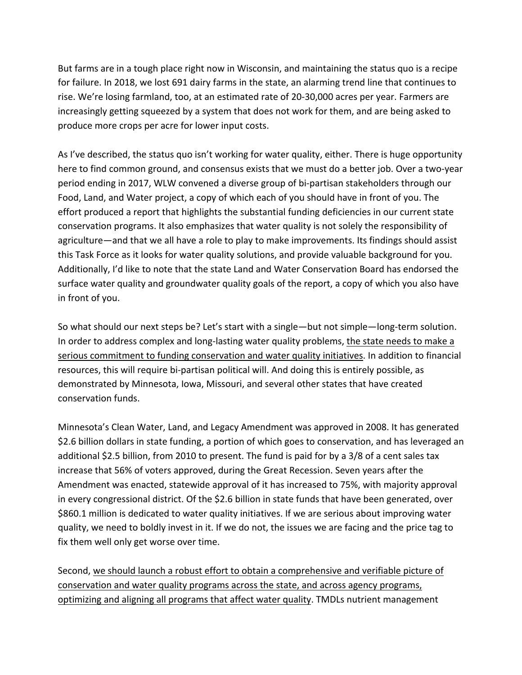But farms are in a tough place right now in Wisconsin, and maintaining the status quo is a recipe for failure. In 2018, we lost 691 dairy farms in the state, an alarming trend line that continues to rise. We're losing farmland, too, at an estimated rate of 20-30,000 acres per year. Farmers are increasingly getting squeezed by a system that does not work for them, and are being asked to produce more crops per acre for lower input costs.

As I've described, the status quo isn't working for water quality, either. There is huge opportunity here to find common ground, and consensus exists that we must do a better job. Over a two-year period ending in 2017, WLW convened a diverse group of bi-partisan stakeholders through our Food, Land, and Water project, a copy of which each of you should have in front of you. The effort produced a report that highlights the substantial funding deficiencies in our current state conservation programs. It also emphasizes that water quality is not solely the responsibility of agriculture—and that we all have a role to play to make improvements. Its findings should assist this Task Force as it looks for water quality solutions, and provide valuable background for you. Additionally, I'd like to note that the state Land and Water Conservation Board has endorsed the surface water quality and groundwater quality goals of the report, a copy of which you also have in front of you.

So what should our next steps be? Let's start with a single—but not simple—long-term solution. In order to address complex and long-lasting water quality problems, the state needs to make a serious commitment to funding conservation and water quality initiatives. In addition to financial resources, this will require bi-partisan political will. And doing this is entirely possible, as demonstrated by Minnesota, Iowa, Missouri, and several other states that have created conservation funds.

Minnesota's Clean Water, Land, and Legacy Amendment was approved in 2008. It has generated \$2.6 billion dollars in state funding, a portion of which goes to conservation, and has leveraged an additional \$2.5 billion, from 2010 to present. The fund is paid for by a 3/8 of a cent sales tax increase that 56% of voters approved, during the Great Recession. Seven years after the Amendment was enacted, statewide approval of it has increased to 75%, with majority approval in every congressional district. Of the \$2.6 billion in state funds that have been generated, over \$860.1 million is dedicated to water quality initiatives. If we are serious about improving water quality, we need to boldly invest in it. If we do not, the issues we are facing and the price tag to fix them well only get worse over time.

Second, we should launch a robust effort to obtain a comprehensive and verifiable picture of conservation and water quality programs across the state, and across agency programs, optimizing and aligning all programs that affect water quality. TMDLs nutrient management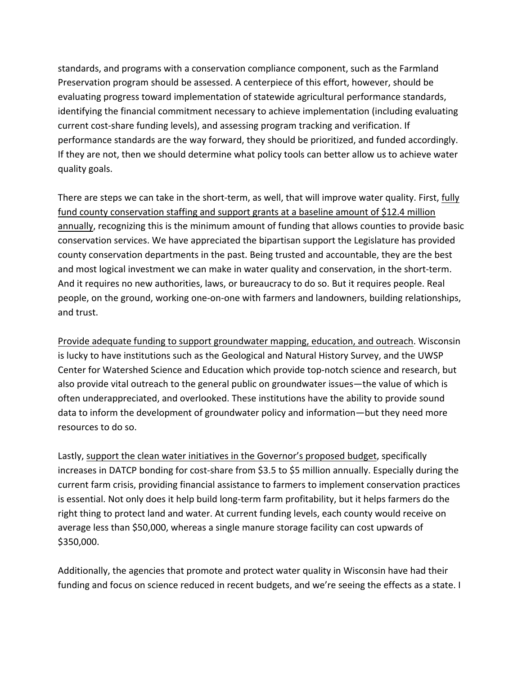standards, and programs with a conservation compliance component, such as the Farmland Preservation program should be assessed. A centerpiece of this effort, however, should be evaluating progress toward implementation of statewide agricultural performance standards, identifying the financial commitment necessary to achieve implementation (including evaluating current cost-share funding levels), and assessing program tracking and verification. If performance standards are the way forward, they should be prioritized, and funded accordingly. If they are not, then we should determine what policy tools can better allow us to achieve water quality goals.

There are steps we can take in the short-term, as well, that will improve water quality. First, fully fund county conservation staffing and support grants at a baseline amount of \$12.4 million annually, recognizing this is the minimum amount of funding that allows counties to provide basic conservation services. We have appreciated the bipartisan support the Legislature has provided county conservation departments in the past. Being trusted and accountable, they are the best and most logical investment we can make in water quality and conservation, in the short-term. And it requires no new authorities, laws, or bureaucracy to do so. But it requires people. Real people, on the ground, working one-on-one with farmers and landowners, building relationships, and trust.

Provide adequate funding to support groundwater mapping, education, and outreach. Wisconsin is lucky to have institutions such as the Geological and Natural History Survey, and the UWSP Center for Watershed Science and Education which provide top-notch science and research, but also provide vital outreach to the general public on groundwater issues—the value of which is often underappreciated, and overlooked. These institutions have the ability to provide sound data to inform the development of groundwater policy and information—but they need more resources to do so.

Lastly, support the clean water initiatives in the Governor's proposed budget, specifically increases in DATCP bonding for cost-share from \$3.5 to \$5 million annually. Especially during the current farm crisis, providing financial assistance to farmers to implement conservation practices is essential. Not only does it help build long-term farm profitability, but it helps farmers do the right thing to protect land and water. At current funding levels, each county would receive on average less than \$50,000, whereas a single manure storage facility can cost upwards of \$350,000.

Additionally, the agencies that promote and protect water quality in Wisconsin have had their funding and focus on science reduced in recent budgets, and we're seeing the effects as a state. I